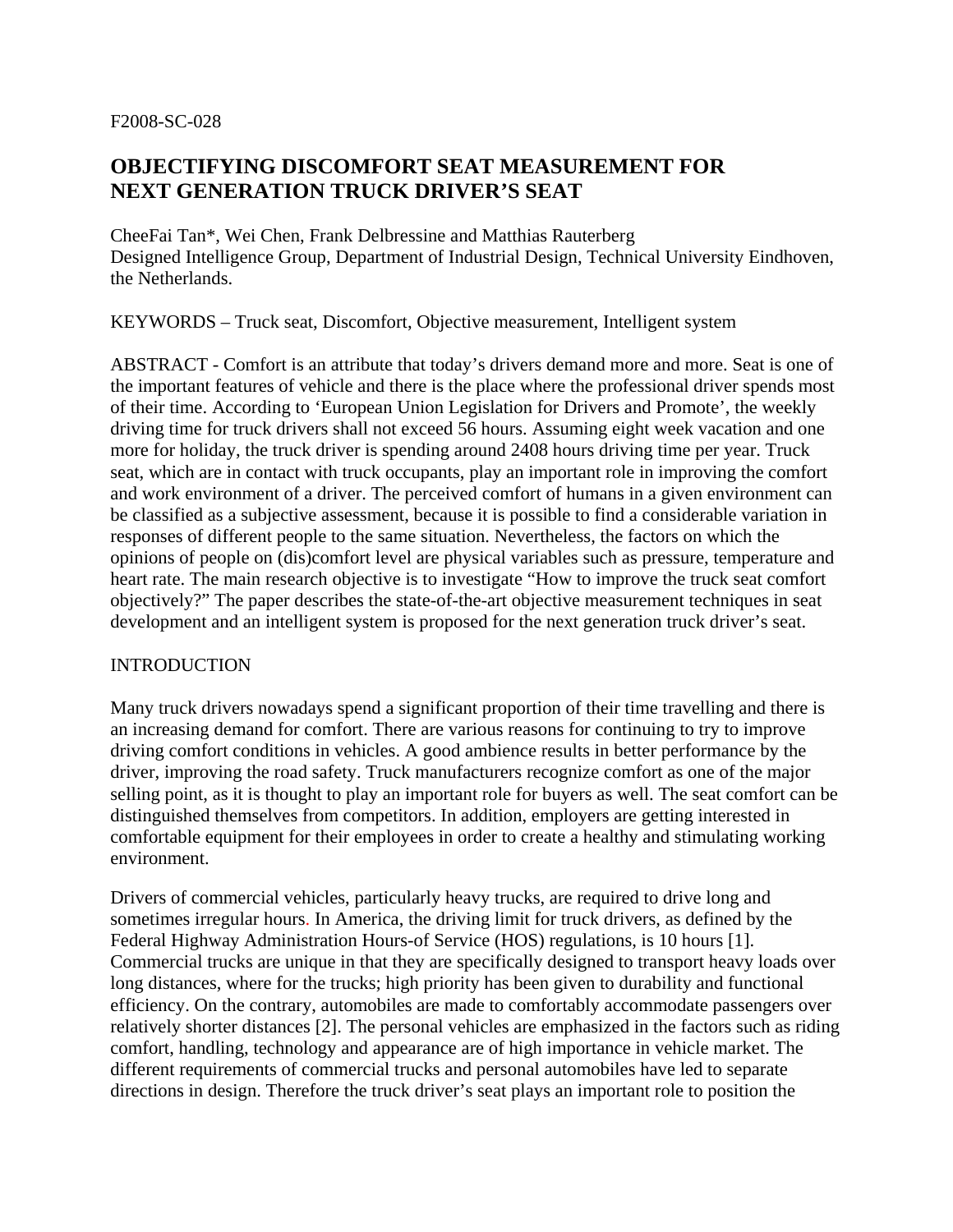### F2008-SC-028

# **OBJECTIFYING DISCOMFORT SEAT MEASUREMENT FOR NEXT GENERATION TRUCK DRIVER'S SEAT**

CheeFai Tan\*, Wei Chen, Frank Delbressine and Matthias Rauterberg Designed Intelligence Group, Department of Industrial Design, Technical University Eindhoven, the Netherlands.

KEYWORDS – Truck seat, Discomfort, Objective measurement, Intelligent system

ABSTRACT - Comfort is an attribute that today's drivers demand more and more. Seat is one of the important features of vehicle and there is the place where the professional driver spends most of their time. According to 'European Union Legislation for Drivers and Promote', the weekly driving time for truck drivers shall not exceed 56 hours. Assuming eight week vacation and one more for holiday, the truck driver is spending around 2408 hours driving time per year. Truck seat, which are in contact with truck occupants, play an important role in improving the comfort and work environment of a driver. The perceived comfort of humans in a given environment can be classified as a subjective assessment, because it is possible to find a considerable variation in responses of different people to the same situation. Nevertheless, the factors on which the opinions of people on (dis)comfort level are physical variables such as pressure, temperature and heart rate. The main research objective is to investigate "How to improve the truck seat comfort objectively?" The paper describes the state-of-the-art objective measurement techniques in seat development and an intelligent system is proposed for the next generation truck driver's seat.

### INTRODUCTION

Many truck drivers nowadays spend a significant proportion of their time travelling and there is an increasing demand for comfort. There are various reasons for continuing to try to improve driving comfort conditions in vehicles. A good ambience results in better performance by the driver, improving the road safety. Truck manufacturers recognize comfort as one of the major selling point, as it is thought to play an important role for buyers as well. The seat comfort can be distinguished themselves from competitors. In addition, employers are getting interested in comfortable equipment for their employees in order to create a healthy and stimulating working environment.

Drivers of commercial vehicles, particularly heavy trucks, are required to drive long and sometimes irregular hours. In America, the driving limit for truck drivers, as defined by the Federal Highway Administration Hours-of Service (HOS) regulations, is 10 hours [1]. Commercial trucks are unique in that they are specifically designed to transport heavy loads over long distances, where for the trucks; high priority has been given to durability and functional efficiency. On the contrary, automobiles are made to comfortably accommodate passengers over relatively shorter distances [2]. The personal vehicles are emphasized in the factors such as riding comfort, handling, technology and appearance are of high importance in vehicle market. The different requirements of commercial trucks and personal automobiles have led to separate directions in design. Therefore the truck driver's seat plays an important role to position the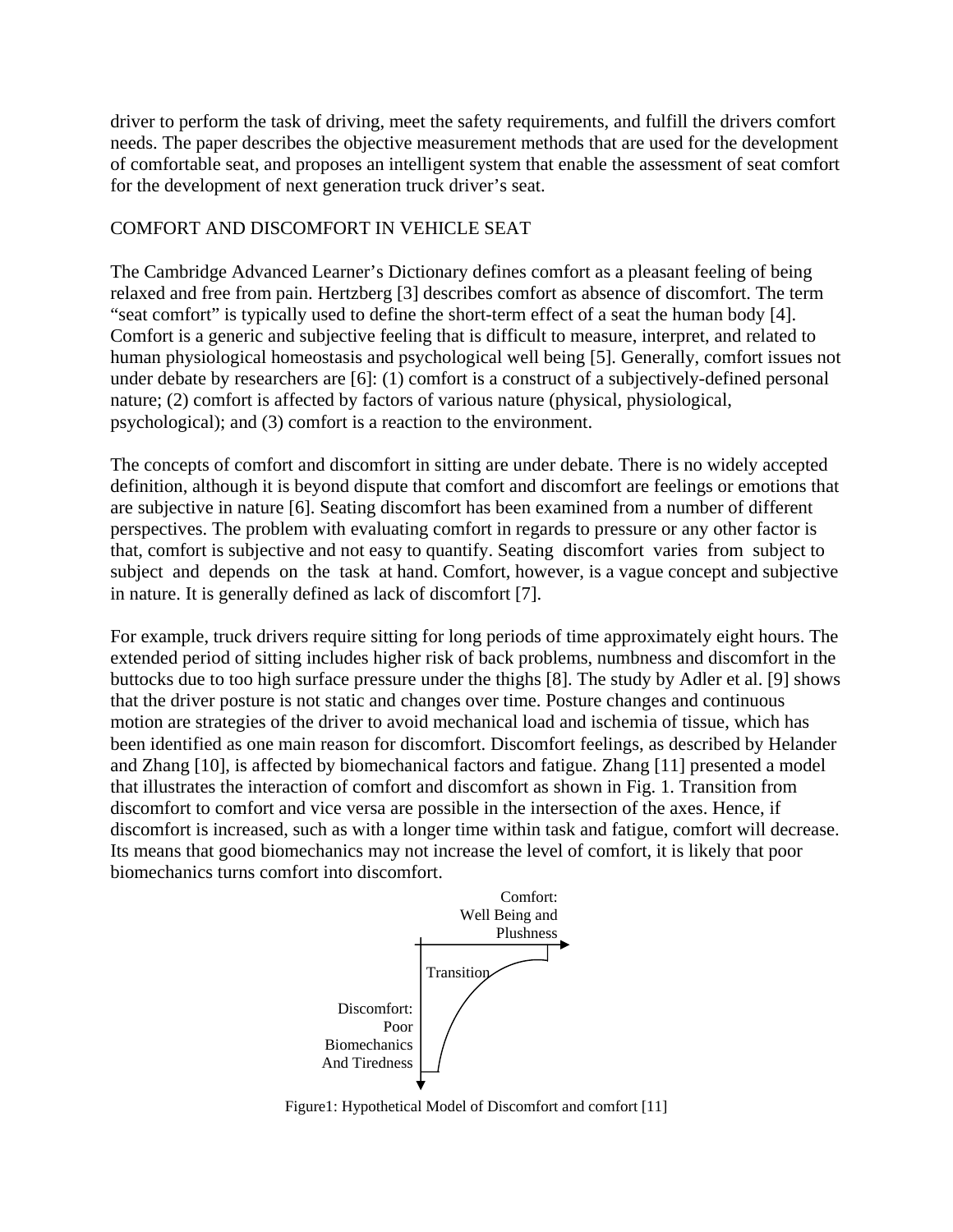driver to perform the task of driving, meet the safety requirements, and fulfill the drivers comfort needs. The paper describes the objective measurement methods that are used for the development of comfortable seat, and proposes an intelligent system that enable the assessment of seat comfort for the development of next generation truck driver's seat.

## COMFORT AND DISCOMFORT IN VEHICLE SEAT

The Cambridge Advanced Learner's Dictionary defines comfort as a pleasant feeling of being relaxed and free from pain. Hertzberg [3] describes comfort as absence of discomfort. The term "seat comfort" is typically used to define the short-term effect of a seat the human body [4]. Comfort is a generic and subjective feeling that is difficult to measure, interpret, and related to human physiological homeostasis and psychological well being [5]. Generally, comfort issues not under debate by researchers are [6]: (1) comfort is a construct of a subjectively-defined personal nature; (2) comfort is affected by factors of various nature (physical, physiological, psychological); and (3) comfort is a reaction to the environment.

The concepts of comfort and discomfort in sitting are under debate. There is no widely accepted definition, although it is beyond dispute that comfort and discomfort are feelings or emotions that are subjective in nature [6]. Seating discomfort has been examined from a number of different perspectives. The problem with evaluating comfort in regards to pressure or any other factor is that, comfort is subjective and not easy to quantify. Seating discomfort varies from subject to subject and depends on the task at hand. Comfort, however, is a vague concept and subjective in nature. It is generally defined as lack of discomfort [7].

For example, truck drivers require sitting for long periods of time approximately eight hours. The extended period of sitting includes higher risk of back problems, numbness and discomfort in the buttocks due to too high surface pressure under the thighs [8]. The study by Adler et al. [9] shows that the driver posture is not static and changes over time. Posture changes and continuous motion are strategies of the driver to avoid mechanical load and ischemia of tissue, which has been identified as one main reason for discomfort. Discomfort feelings, as described by Helander and Zhang [10], is affected by biomechanical factors and fatigue. Zhang [11] presented a model that illustrates the interaction of comfort and discomfort as shown in Fig. 1. Transition from discomfort to comfort and vice versa are possible in the intersection of the axes. Hence, if discomfort is increased, such as with a longer time within task and fatigue, comfort will decrease. Its means that good biomechanics may not increase the level of comfort, it is likely that poor biomechanics turns comfort into discomfort.



Figure1: Hypothetical Model of Discomfort and comfort [11]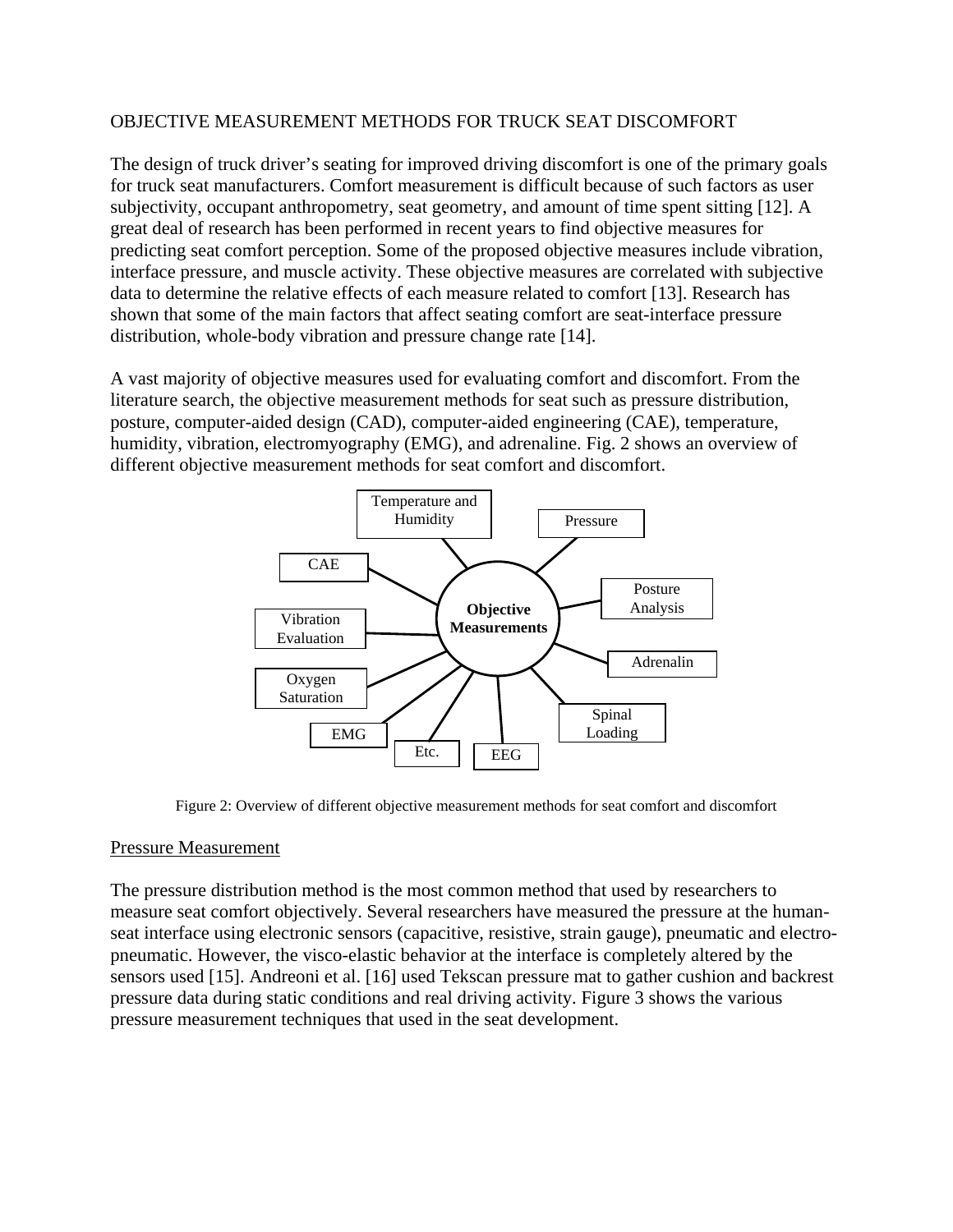## OBJECTIVE MEASUREMENT METHODS FOR TRUCK SEAT DISCOMFORT

The design of truck driver's seating for improved driving discomfort is one of the primary goals for truck seat manufacturers. Comfort measurement is difficult because of such factors as user subjectivity, occupant anthropometry, seat geometry, and amount of time spent sitting [12]. A great deal of research has been performed in recent years to find objective measures for predicting seat comfort perception. Some of the proposed objective measures include vibration, interface pressure, and muscle activity. These objective measures are correlated with subjective data to determine the relative effects of each measure related to comfort [13]. Research has shown that some of the main factors that affect seating comfort are seat-interface pressure distribution, whole-body vibration and pressure change rate [14].

A vast majority of objective measures used for evaluating comfort and discomfort. From the literature search, the objective measurement methods for seat such as pressure distribution, posture, computer-aided design (CAD), computer-aided engineering (CAE), temperature, humidity, vibration, electromyography (EMG), and adrenaline. Fig. 2 shows an overview of different objective measurement methods for seat comfort and discomfort.



Figure 2: Overview of different objective measurement methods for seat comfort and discomfort

#### Pressure Measurement

The pressure distribution method is the most common method that used by researchers to measure seat comfort objectively. Several researchers have measured the pressure at the humanseat interface using electronic sensors (capacitive, resistive, strain gauge), pneumatic and electropneumatic. However, the visco-elastic behavior at the interface is completely altered by the sensors used [15]. Andreoni et al. [16] used Tekscan pressure mat to gather cushion and backrest pressure data during static conditions and real driving activity. Figure 3 shows the various pressure measurement techniques that used in the seat development.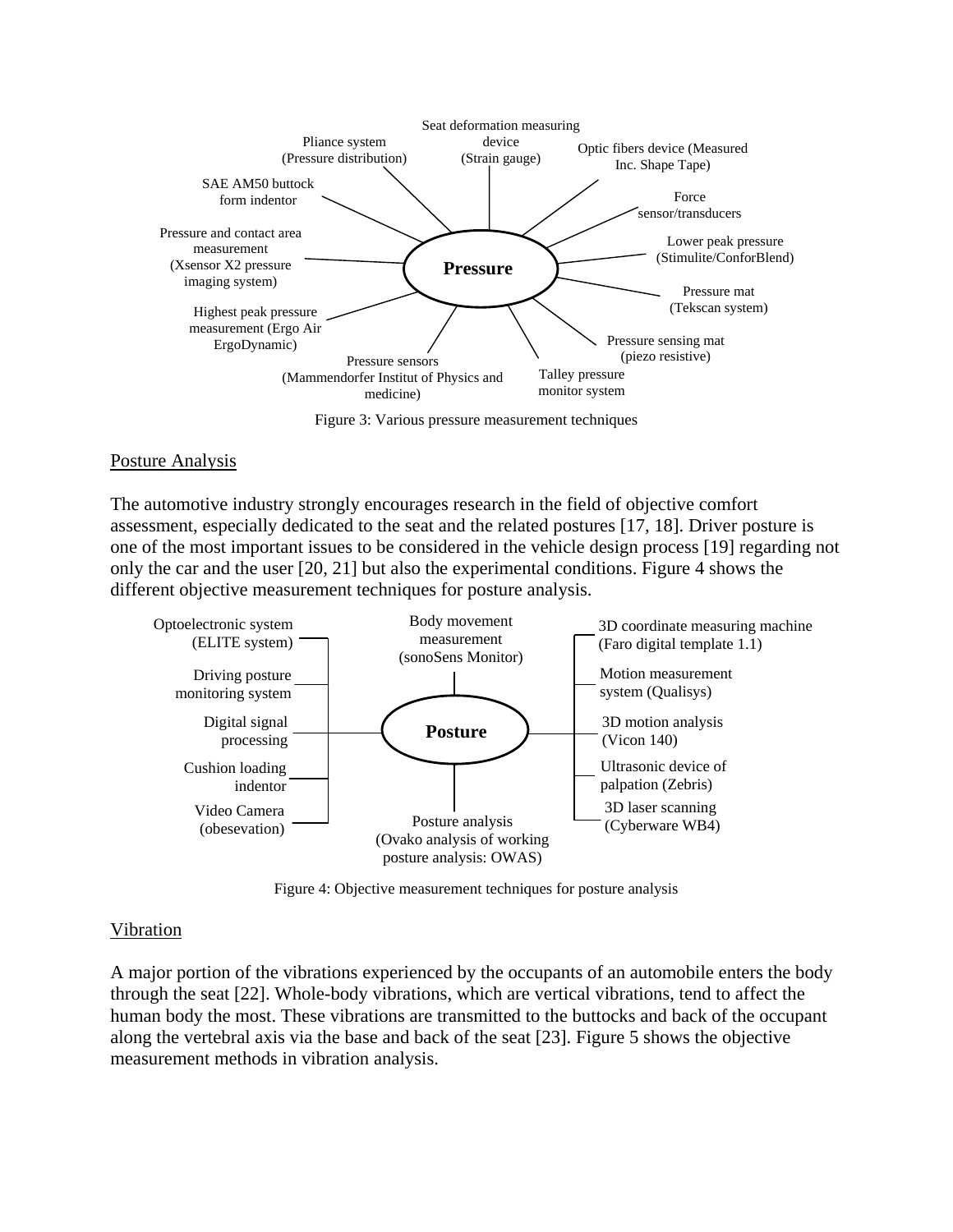

Figure 3: Various pressure measurement techniques

#### Posture Analysis

The automotive industry strongly encourages research in the field of objective comfort assessment, especially dedicated to the seat and the related postures [17, 18]. Driver posture is one of the most important issues to be considered in the vehicle design process [19] regarding not only the car and the user [20, 21] but also the experimental conditions. Figure 4 shows the different objective measurement techniques for posture analysis.



Figure 4: Objective measurement techniques for posture analysis

#### Vibration

A major portion of the vibrations experienced by the occupants of an automobile enters the body through the seat [22]. Whole-body vibrations, which are vertical vibrations, tend to affect the human body the most. These vibrations are transmitted to the buttocks and back of the occupant along the vertebral axis via the base and back of the seat [23]. Figure 5 shows the objective measurement methods in vibration analysis.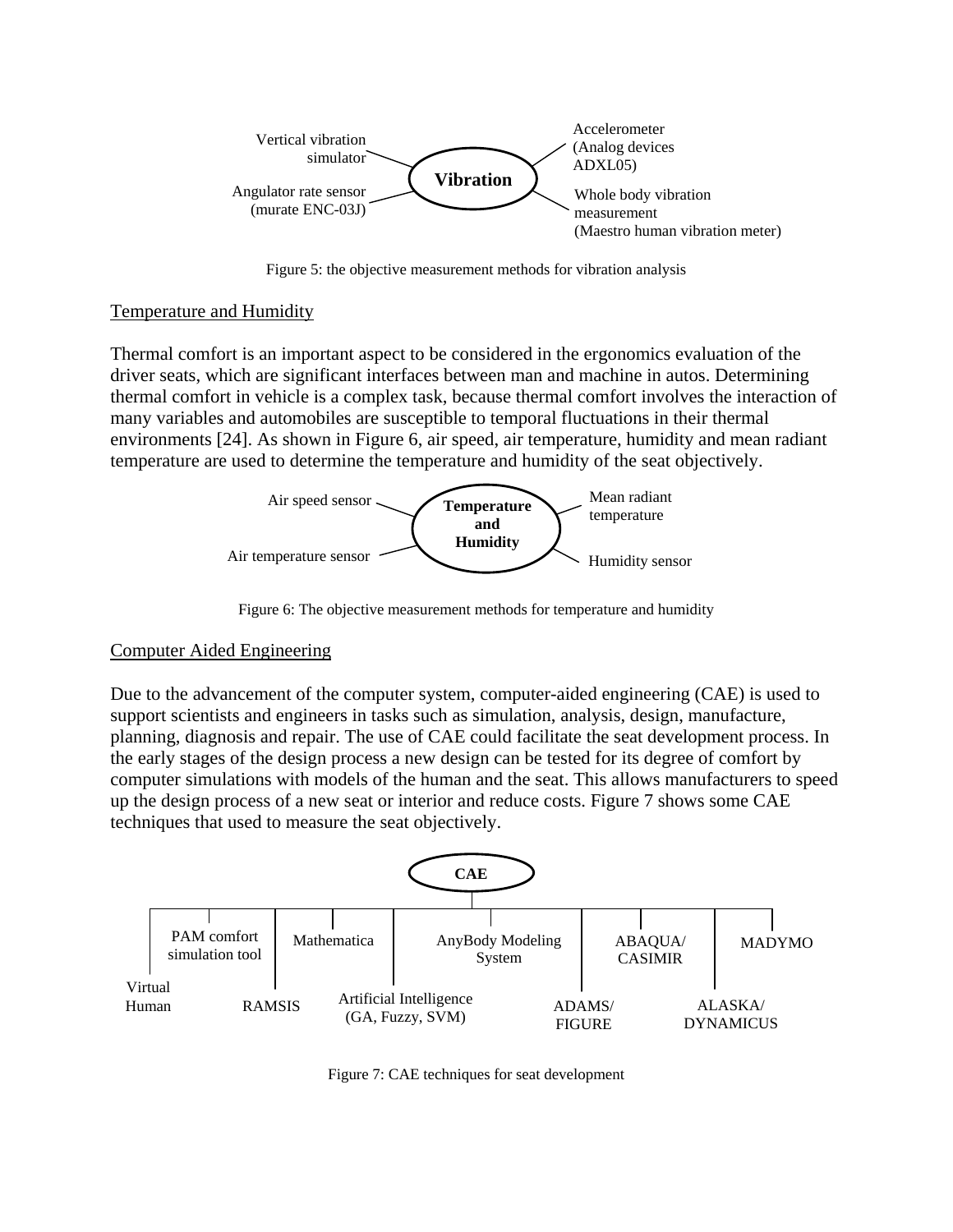

Figure 5: the objective measurement methods for vibration analysis

### Temperature and Humidity

Thermal comfort is an important aspect to be considered in the ergonomics evaluation of the driver seats, which are significant interfaces between man and machine in autos. Determining thermal comfort in vehicle is a complex task, because thermal comfort involves the interaction of many variables and automobiles are susceptible to temporal fluctuations in their thermal environments [24]. As shown in Figure 6, air speed, air temperature, humidity and mean radiant temperature are used to determine the temperature and humidity of the seat objectively.



Figure 6: The objective measurement methods for temperature and humidity

### Computer Aided Engineering

Due to the advancement of the computer system, computer-aided engineering (CAE) is used to support scientists and engineers in tasks such as simulation, analysis, design, manufacture, planning, diagnosis and repair. The use of CAE could facilitate the seat development process. In the early stages of the design process a new design can be tested for its degree of comfort by computer simulations with models of the human and the seat. This allows manufacturers to speed up the design process of a new seat or interior and reduce costs. Figure 7 shows some CAE techniques that used to measure the seat objectively.



Figure 7: CAE techniques for seat development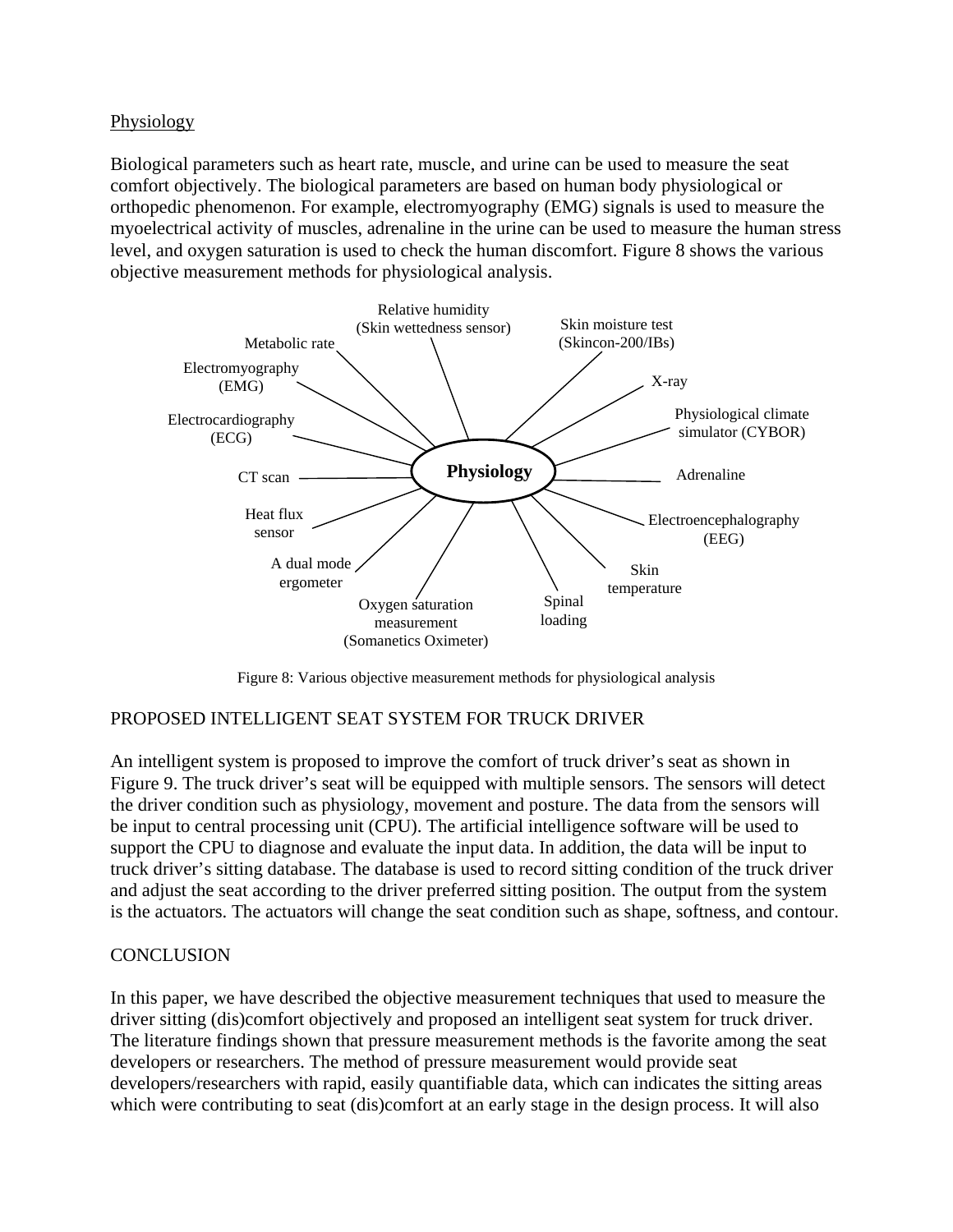Physiology

Biological parameters such as heart rate, muscle, and urine can be used to measure the seat comfort objectively. The biological parameters are based on human body physiological or orthopedic phenomenon. For example, electromyography (EMG) signals is used to measure the myoelectrical activity of muscles, adrenaline in the urine can be used to measure the human stress level, and oxygen saturation is used to check the human discomfort. Figure 8 shows the various objective measurement methods for physiological analysis.



Figure 8: Various objective measurement methods for physiological analysis

# PROPOSED INTELLIGENT SEAT SYSTEM FOR TRUCK DRIVER

An intelligent system is proposed to improve the comfort of truck driver's seat as shown in Figure 9. The truck driver's seat will be equipped with multiple sensors. The sensors will detect the driver condition such as physiology, movement and posture. The data from the sensors will be input to central processing unit (CPU). The artificial intelligence software will be used to support the CPU to diagnose and evaluate the input data. In addition, the data will be input to truck driver's sitting database. The database is used to record sitting condition of the truck driver and adjust the seat according to the driver preferred sitting position. The output from the system is the actuators. The actuators will change the seat condition such as shape, softness, and contour.

# **CONCLUSION**

In this paper, we have described the objective measurement techniques that used to measure the driver sitting (dis)comfort objectively and proposed an intelligent seat system for truck driver. The literature findings shown that pressure measurement methods is the favorite among the seat developers or researchers. The method of pressure measurement would provide seat developers/researchers with rapid, easily quantifiable data, which can indicates the sitting areas which were contributing to seat (dis)comfort at an early stage in the design process. It will also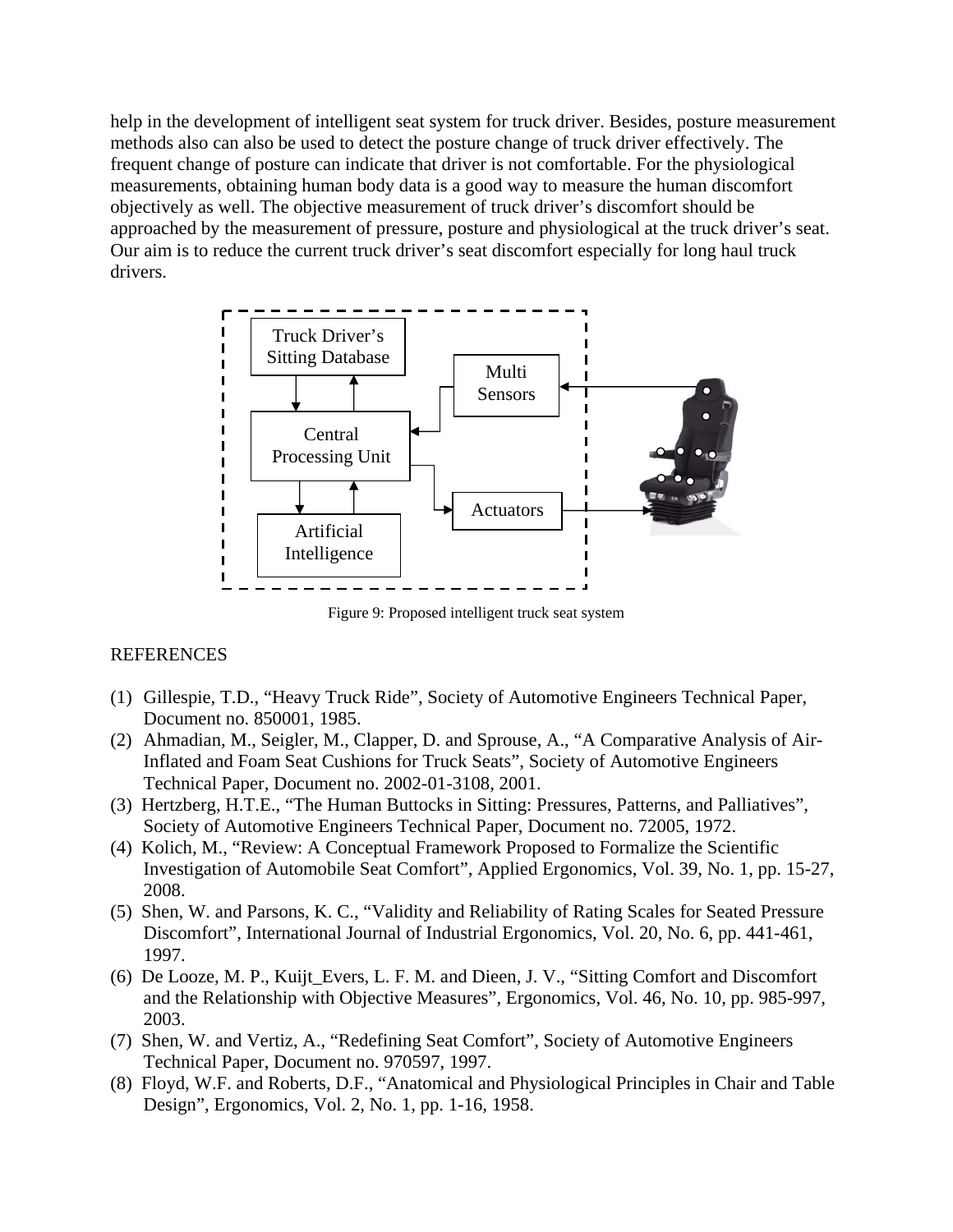help in the development of intelligent seat system for truck driver. Besides, posture measurement methods also can also be used to detect the posture change of truck driver effectively. The frequent change of posture can indicate that driver is not comfortable. For the physiological measurements, obtaining human body data is a good way to measure the human discomfort objectively as well. The objective measurement of truck driver's discomfort should be approached by the measurement of pressure, posture and physiological at the truck driver's seat. Our aim is to reduce the current truck driver's seat discomfort especially for long haul truck drivers.



Figure 9: Proposed intelligent truck seat system

# REFERENCES

- (1) Gillespie, T.D., "Heavy Truck Ride", Society of Automotive Engineers Technical Paper, Document no. 850001, 1985.
- (2) Ahmadian, M., Seigler, M., Clapper, D. and Sprouse, A., "A Comparative Analysis of Air-Inflated and Foam Seat Cushions for Truck Seats", Society of Automotive Engineers Technical Paper, Document no. 2002-01-3108, 2001.
- (3) Hertzberg, H.T.E., "The Human Buttocks in Sitting: Pressures, Patterns, and Palliatives", Society of Automotive Engineers Technical Paper, Document no. 72005, 1972.
- (4) Kolich, M., "Review: A Conceptual Framework Proposed to Formalize the Scientific Investigation of Automobile Seat Comfort", Applied Ergonomics, Vol. 39, No. 1, pp. 15-27, 2008.
- (5) Shen, W. and Parsons, K. C., "Validity and Reliability of Rating Scales for Seated Pressure Discomfort", International Journal of Industrial Ergonomics, Vol. 20, No. 6, pp. 441-461, 1997.
- (6) De Looze, M. P., Kuijt\_Evers, L. F. M. and Dieen, J. V., "Sitting Comfort and Discomfort and the Relationship with Objective Measures", Ergonomics, Vol. 46, No. 10, pp. 985-997, 2003.
- (7) Shen, W. and Vertiz, A., "Redefining Seat Comfort", Society of Automotive Engineers Technical Paper, Document no. 970597, 1997.
- (8) Floyd, W.F. and Roberts, D.F., "Anatomical and Physiological Principles in Chair and Table Design", Ergonomics, Vol. 2, No. 1, pp. 1-16, 1958.